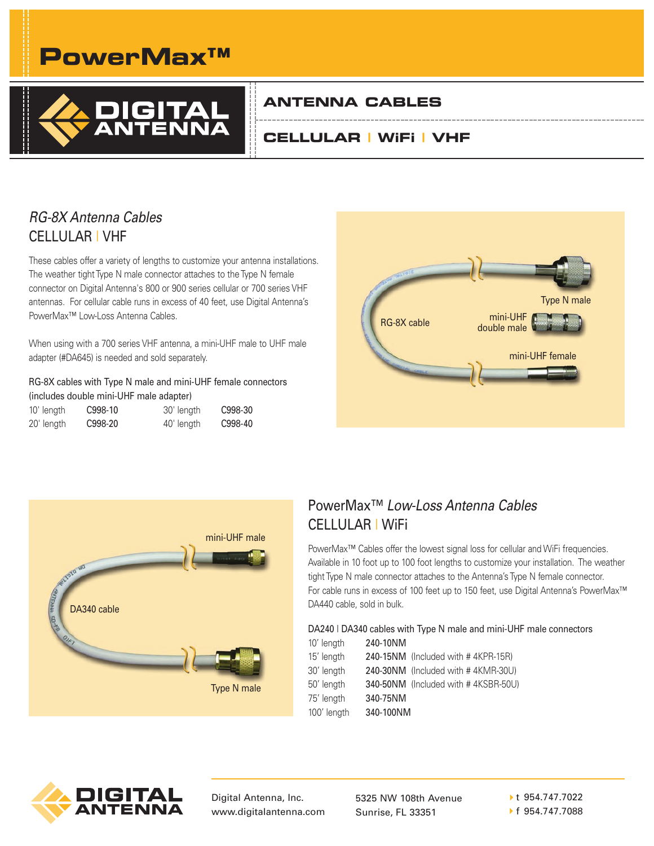# **PowerMax™**



### **ANTENNA CABLES**

### **CELLULAR | WiFi | VHF**

## *RG-8X Antenna Cables* CELLULAR | VHF

These cables offer a variety of lengths to customize your antenna installations. The weather tight Type N male connector attaches to the Type N female connector on Digital Antenna's 800 or 900 series cellular or 700 series VHF antennas. For cellular cable runs in excess of 40 feet, use Digital Antenna's PowerMax™ Low-Loss Antenna Cables.

When using with a 700 series VHF antenna, a mini-UHF male to UHF male adapter (#DA645) is needed and sold separately.

#### RG-8X cables with Type N male and mini-UHF female connectors (includes double mini-UHF male adapter)

|            |                      | molutes abuble mini-brill male auapter |         |
|------------|----------------------|----------------------------------------|---------|
| 10' length | C <sub>998</sub> -10 | 30' length                             | C998-30 |
| 20' length | C998-20              | 40' length                             | C998-40 |





### PowerMax™ *Low-Loss Antenna Cables* CELLULAR | WiFi

PowerMax™ Cables offer the lowest signal loss for cellular and WiFi frequencies. Available in 10 foot up to 100 foot lengths to customize your installation. The weather tight Type N male connector attaches to the Antenna's Type N female connector. For cable runs in excess of 100 feet up to 150 feet, use Digital Antenna's PowerMax™ DA440 cable, sold in bulk.

#### DA240 | DA340 cables with Type N male and mini-UHF male connectors

| 10' length  | 240-10NM  |                                     |
|-------------|-----------|-------------------------------------|
| 15' length  |           | 240-15NM (Included with #4KPR-15R)  |
| 30' length  |           | 240-30NM (Included with #4KMR-30U)  |
| 50' length  |           | 340-50NM (Included with #4KSBR-50U) |
| 75' length  | 340-75NM  |                                     |
| 100' length | 340-100NM |                                     |



Digital Antenna, Inc. www.digitalantenna.com 5325 NW 108th Avenue Sunrise, FL 33351

t 954.747.7022 **▲** f 954.747.7088 **▲**